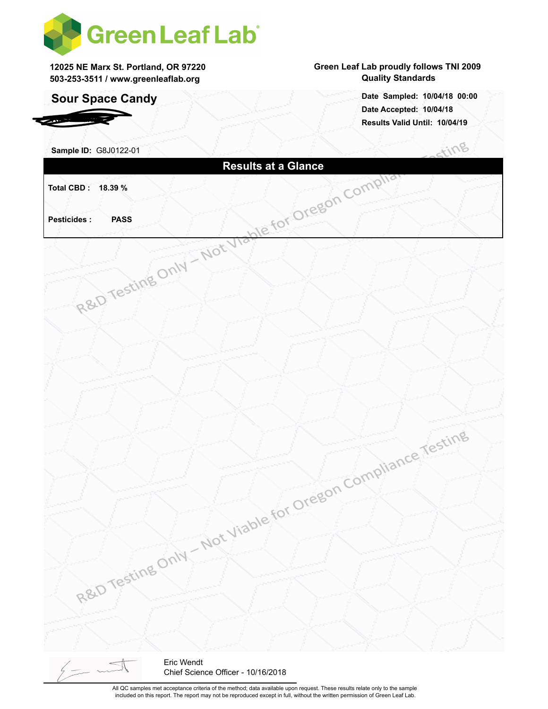

**12025 NE Marx St. Portland, OR 97220 503-253-3511 / www.greenleaflab.org**

### **Sour Space Candy**

*RDSP Farms*

#### **Green Leaf Lab proudly follows TNI 2009 Quality Standards**

**Date Accepted: 10/04/18 Results Valid Until: 10/04/19 Date Sampled: 10/04/18 00:00**

 $\sim$ 

| Sample ID: G8J0122-01 |                                                   |            |                                          |  | Stirio |  |
|-----------------------|---------------------------------------------------|------------|------------------------------------------|--|--------|--|
|                       | R&D Testing Only - Not Viable for Oregon Complian |            |                                          |  |        |  |
| Total CBD: 18.39 %    |                                                   |            |                                          |  |        |  |
|                       |                                                   |            |                                          |  |        |  |
| <b>Pesticides:</b>    |                                                   |            |                                          |  |        |  |
|                       |                                                   |            |                                          |  |        |  |
|                       |                                                   |            |                                          |  |        |  |
|                       |                                                   |            |                                          |  |        |  |
|                       |                                                   |            |                                          |  |        |  |
|                       |                                                   |            |                                          |  |        |  |
|                       |                                                   |            |                                          |  |        |  |
|                       |                                                   |            |                                          |  |        |  |
|                       |                                                   |            |                                          |  |        |  |
|                       |                                                   |            |                                          |  |        |  |
|                       |                                                   |            |                                          |  |        |  |
|                       |                                                   |            |                                          |  |        |  |
|                       |                                                   |            |                                          |  |        |  |
|                       |                                                   |            |                                          |  |        |  |
|                       |                                                   |            |                                          |  |        |  |
|                       |                                                   |            |                                          |  |        |  |
|                       |                                                   |            | Not Viable for Oregon Compliance Testing |  |        |  |
|                       |                                                   |            |                                          |  |        |  |
|                       |                                                   |            |                                          |  |        |  |
|                       |                                                   |            |                                          |  |        |  |
|                       |                                                   |            |                                          |  |        |  |
|                       |                                                   |            |                                          |  |        |  |
|                       |                                                   |            |                                          |  |        |  |
|                       |                                                   |            |                                          |  |        |  |
|                       | R&D Testing Only                                  |            |                                          |  |        |  |
|                       |                                                   |            |                                          |  |        |  |
|                       |                                                   |            |                                          |  |        |  |
|                       |                                                   |            |                                          |  |        |  |
|                       |                                                   | Eric Wendt |                                          |  |        |  |

All QC samples met acceptance criteria of the method; data available upon request. These results relate only to the sample included on this report. The report may not be reproduced except in full, without the written permission of Green Leaf Lab.

Chief Science Officer - 10/16/2018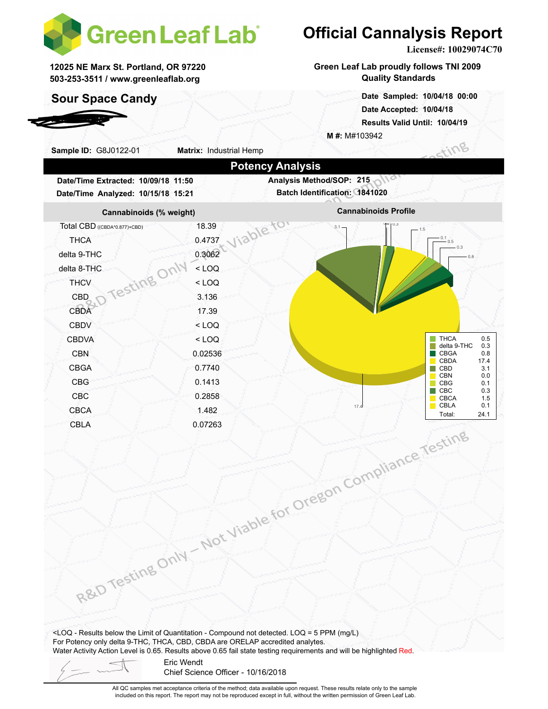

**12025 NE Marx St. Portland, OR 97220 503-253-3511 / www.greenleaflab.org**

### **Sour Space Candy**

*RDSP Farms*

# **Official Cannalysis Report**

**License#: 10029074C70**

**Green Leaf Lab proudly follows TNI 2009 Quality Standards**

> **Date Accepted: 10/04/18 Results Valid Until: 10/04/19 Date Sampled: 10/04/18 00:00**

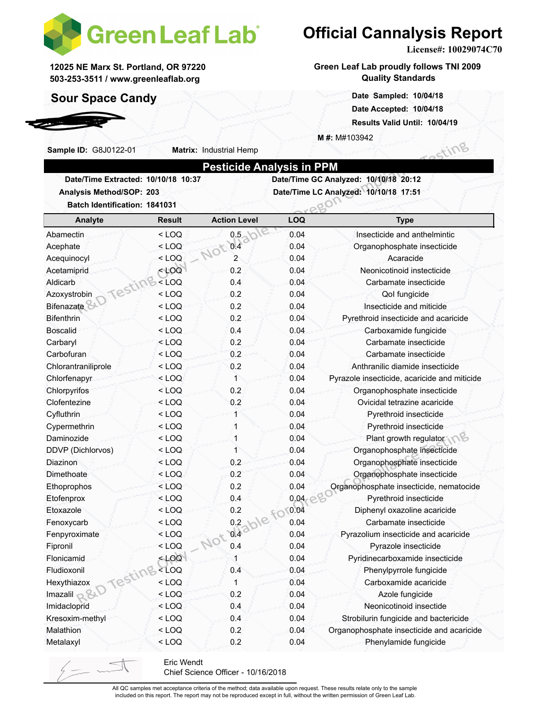

**Matrix:** Industrial Hemp

**12025 NE Marx St. Portland, OR 97220 503-253-3511 / www.greenleaflab.org**

### **Sour Space Candy**

**Sample ID:** G8J0122-01

*RDSP Farms*

## **Official Cannalysis Report**

**License#: 10029074C70**

sting

**Green Leaf Lab proudly follows TNI 2009 Quality Standards**

> **Date Sampled: 10/04/18 00:00 Date Accepted: 10/04/18 Results Valid Until: 10/04/19**

**M #:** M#103942

| Date/Time GC Analyzed: 10/10/18 20:12<br>Date/Time Extracted: 10/10/18 10:37<br>Date/Time LC Analyzed: 10/10/18 17:51<br>Analysis Method/SOP: 203 |               |                     |            |                                              |  |  |  |  |
|---------------------------------------------------------------------------------------------------------------------------------------------------|---------------|---------------------|------------|----------------------------------------------|--|--|--|--|
| Batch Identification: 1841031                                                                                                                     |               |                     |            |                                              |  |  |  |  |
| Analyte                                                                                                                                           | <b>Result</b> | <b>Action Level</b> | <b>LOQ</b> | <b>Type</b>                                  |  |  |  |  |
| Abamectin                                                                                                                                         | $<$ LOQ       | 0.5                 | 0.04       | Insecticide and anthelmintic                 |  |  |  |  |
| Acephate                                                                                                                                          | $<$ LOQ       | 0.4<br>JOB          | 0.04       | Organophosphate insecticide                  |  |  |  |  |
| Acequinocyl                                                                                                                                       | $<$ LOQ       | $\overline{2}$      | 0.04       | Acaracide                                    |  |  |  |  |
| Acetamiprid                                                                                                                                       | $<$ LOQ       | 0.2                 | 0.04       | Neonicotinoid instecticide                   |  |  |  |  |
| Aldicarb                                                                                                                                          | $<$ LOQ       | 0.4                 | 0.04       | Carbamate insecticide                        |  |  |  |  |
| Testin<br>Azoxystrobin                                                                                                                            | $<$ LOQ       | 0.2                 | 0.04       | Qol fungicide                                |  |  |  |  |
| <b>Bifenazate</b>                                                                                                                                 | $<$ LOQ       | 0.2                 | 0.04       | Insecticide and miticide                     |  |  |  |  |
| Bifenthrin                                                                                                                                        | $<$ LOQ       | 0.2                 | 0.04       | Pyrethroid insecticide and acaricide         |  |  |  |  |
| <b>Boscalid</b>                                                                                                                                   | $<$ LOQ       | 0.4                 | 0.04       | Carboxamide fungicide                        |  |  |  |  |
| Carbaryl                                                                                                                                          | $<$ LOQ       | 0.2                 | 0.04       | Carbamate insecticide                        |  |  |  |  |
| Carbofuran                                                                                                                                        | $<$ LOQ       | 0.2                 | 0.04       | Carbamate insecticide                        |  |  |  |  |
| Chlorantraniliprole                                                                                                                               | $<$ LOQ       | 0.2                 | 0.04       | Anthranilic diamide insecticide              |  |  |  |  |
| Chlorfenapyr                                                                                                                                      | $<$ LOQ       | 1                   | 0.04       | Pyrazole insecticide, acaricide and miticide |  |  |  |  |
| Chlorpyrifos                                                                                                                                      | $<$ LOQ       | 0.2                 | 0.04       | Organophosphate insecticide                  |  |  |  |  |
| Clofentezine                                                                                                                                      | $<$ LOQ       | 0.2                 | 0.04       | Ovicidal tetrazine acaricide                 |  |  |  |  |
| Cyfluthrin                                                                                                                                        | $<$ LOQ       |                     | 0.04       | Pyrethroid insecticide                       |  |  |  |  |
| Cypermethrin                                                                                                                                      | $<$ LOQ       | 1                   | 0.04       | Pyrethroid insecticide                       |  |  |  |  |
| Daminozide                                                                                                                                        | $<$ LOQ       | 1                   | 0.04       | Plant growth regulator                       |  |  |  |  |
| DDVP (Dichlorvos)                                                                                                                                 | $<$ LOQ       | 1                   | 0.04       | Organophosphate insecticide                  |  |  |  |  |
| Diazinon                                                                                                                                          | $<$ LOQ       | 0.2                 | 0.04       | Organophosphate insecticide                  |  |  |  |  |
| Dimethoate                                                                                                                                        | $<$ LOQ       | 0.2                 | 0.04       | Organophosphate insecticide                  |  |  |  |  |
| Ethoprophos                                                                                                                                       | $<$ LOQ       | 0.2                 | 0.04       | Organophosphate insecticide, nematocide      |  |  |  |  |
| Etofenprox                                                                                                                                        | $<$ LOQ       | 0.4                 | 0.04       | Pyrethroid insecticide                       |  |  |  |  |
| Etoxazole                                                                                                                                         | $<$ LOQ       |                     | 0.04       | Diphenyl oxazoline acaricide                 |  |  |  |  |
| Fenoxycarb                                                                                                                                        | $<$ LOQ       |                     | 0.04       | Carbamate insecticide                        |  |  |  |  |
| Fenpyroximate                                                                                                                                     | $<$ LOQ       | blable fo           | 0.04       | Pyrazolium insecticide and acaricide         |  |  |  |  |
| Fipronil                                                                                                                                          | $<$ LOQ       | Not<br>0.4          | 0.04       | Pyrazole insecticide                         |  |  |  |  |
| Flonicamid                                                                                                                                        | $<$ LOQ       | 1                   | 0.04       | Pyridinecarboxamide insecticide              |  |  |  |  |
|                                                                                                                                                   | $<$ LOQ       | 0.4                 | 0.04       | Phenylpyrrole fungicide                      |  |  |  |  |
| Juliazox<br>Imazalil R&D Testing                                                                                                                  | $<$ LOQ       | 1                   | 0.04       | Carboxamide acaricide                        |  |  |  |  |
|                                                                                                                                                   | $<$ LOQ       | 0.2                 | 0.04       | Azole fungicide                              |  |  |  |  |
| Imidacloprid                                                                                                                                      | $<$ LOQ       | 0.4                 | 0.04       | Neonicotinoid insectide                      |  |  |  |  |
| Kresoxim-methyl                                                                                                                                   | $<$ LOQ       | 0.4                 | 0.04       | Strobilurin fungicide and bactericide        |  |  |  |  |
| Malathion                                                                                                                                         | $<$ LOQ       | 0.2                 | 0.04       | Organophosphate insecticide and acaricide    |  |  |  |  |
| Metalaxyl                                                                                                                                         | $<$ LOQ       | 0.2                 | 0.04       | Phenylamide fungicide                        |  |  |  |  |

Chief Science Officer - 10/16/2018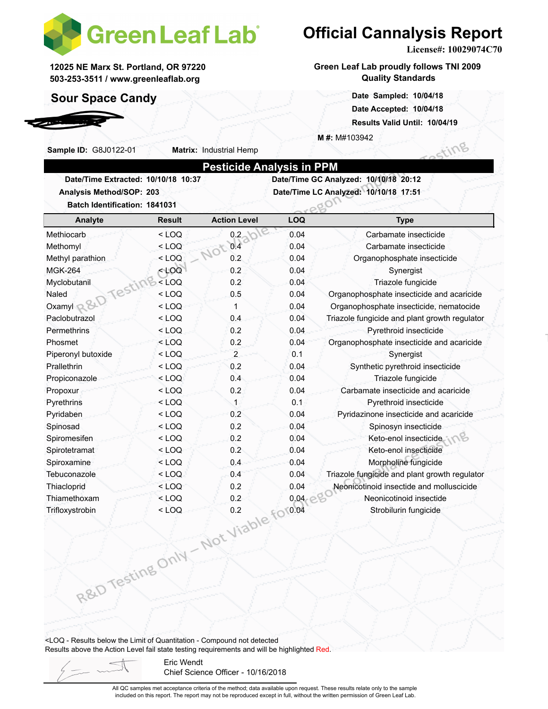

**Matrix:** Industrial Hemp

**12025 NE Marx St. Portland, OR 97220 503-253-3511 / www.greenleaflab.org**

### **Sour Space Candy**

**Sample ID:** G8J0122-01

*RDSP Farms*

# **Official Cannalysis Report**

**License#: 10029074C70**

sting

Type text here

**Green Leaf Lab proudly follows TNI 2009 Quality Standards**

> **Date Sampled: 10/04/18 00:00 Date Accepted: 10/04/18 Results Valid Until: 10/04/19**

**M #:** M#103942

| Analysis Method/SOP: 203                        |                    |                                       | Date/Time LC Analyzed: 10/10/18 17:51 |                                                                                           |  |  |
|-------------------------------------------------|--------------------|---------------------------------------|---------------------------------------|-------------------------------------------------------------------------------------------|--|--|
| <b>Batch Identification: 1841031</b><br>Analyte | <b>Result</b>      | <b>Action Level</b>                   | LOQ                                   | <b>Type</b>                                                                               |  |  |
| Methiocarb                                      | $<$ LOQ            | 0.2                                   | 0.04                                  | Carbamate insecticide                                                                     |  |  |
| Methomyl                                        | $<$ LOQ            | 0.4                                   | 0.04                                  |                                                                                           |  |  |
| Methyl parathion                                | $<$ LOQ            | 506<br>0.2                            | 0.04                                  | Carbamate insecticide<br>Organophosphate insecticide                                      |  |  |
| <b>MGK-264</b>                                  | $<$ LOQ            | 0.2                                   | 0.04                                  | Synergist                                                                                 |  |  |
|                                                 | $<$ LOQ            | 0.2                                   | 0.04                                  | Triazole fungicide                                                                        |  |  |
|                                                 | $<$ LOQ            | 0.5                                   | 0.04                                  | Organophosphate insecticide and acaricide                                                 |  |  |
|                                                 | $<$ LOQ            | 1                                     | 0.04                                  | Organophosphate insecticide, nematocide                                                   |  |  |
| Oxamyl R&D Testing<br>Paclobutrazol             | $<$ LOQ            | 0.4                                   | 0.04                                  | Triazole fungicide and plant growth regulator                                             |  |  |
|                                                 |                    | 0.2                                   | 0.04                                  | Pyrethroid insecticide                                                                    |  |  |
| Permethrins                                     | $<$ LOQ            | 0.2                                   |                                       |                                                                                           |  |  |
| Phosmet<br>Piperonyl butoxide                   | $<$ LOQ<br>$<$ LOQ | $\overline{2}$                        | 0.04<br>0.1                           | Organophosphate insecticide and acaricide<br>Synergist                                    |  |  |
| Prallethrin                                     | $<$ LOQ            | 0.2                                   | 0.04                                  | Synthetic pyrethroid insecticide                                                          |  |  |
|                                                 |                    | 0.4                                   | 0.04                                  | Triazole fungicide                                                                        |  |  |
| Propiconazole                                   | $<$ LOQ<br>$<$ LOQ | 0.2                                   | 0.04                                  | Carbamate insecticide and acaricide                                                       |  |  |
| Propoxur<br>Pyrethrins                          | $<$ LOQ            | 1                                     | 0.1                                   | Pyrethroid insecticide                                                                    |  |  |
|                                                 |                    | 0.2                                   | 0.04                                  |                                                                                           |  |  |
| Pyridaben                                       | $<$ LOQ            | 0.2                                   | 0.04                                  | Pyridazinone insecticide and acaricide                                                    |  |  |
| Spinosad                                        | $<$ LOQ            | 0.2                                   | 0.04                                  | Spinosyn insecticide                                                                      |  |  |
| Spiromesifen                                    | $<$ LOQ            | 0.2                                   | 0.04                                  | Keto-enol insecticide<br>Keto-enol insecticide                                            |  |  |
| Spirotetramat                                   | $<$ LOQ            |                                       |                                       |                                                                                           |  |  |
| Spiroxamine                                     | $<$ LOQ            | 0.4                                   | 0.04                                  | Morpholine fungicide                                                                      |  |  |
| Tebuconazole                                    | $<$ LOQ<br>$<$ LOQ | 0.4<br>0.2                            | 0.04                                  | Triazole fungicide and plant growth regulator<br>Neonicotinoid insectide and molluscicide |  |  |
| Thiacloprid<br>Thiamethoxam                     |                    |                                       | 0.04                                  | Neonicotinoid insectide                                                                   |  |  |
|                                                 |                    |                                       |                                       |                                                                                           |  |  |
| Trifloxystrobin                                 |                    |                                       |                                       | Strobilurin fungicide                                                                     |  |  |
|                                                 |                    |                                       |                                       |                                                                                           |  |  |
|                                                 |                    | R&D Testing Only - Not Viable for0.04 |                                       |                                                                                           |  |  |
|                                                 |                    |                                       |                                       |                                                                                           |  |  |
|                                                 |                    |                                       |                                       |                                                                                           |  |  |
|                                                 |                    |                                       |                                       |                                                                                           |  |  |
|                                                 |                    |                                       |                                       |                                                                                           |  |  |

<LOQ - Results below the Limit of Quantitation - Compound not detected Results above the Action Level fail state testing requirements and will be highlighted Red.

> Eric Wendt Chief Science Officer - 10/16/2018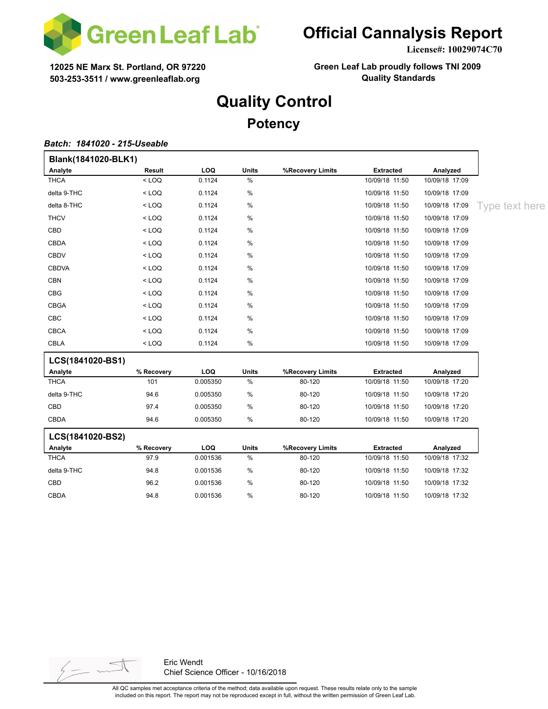

**License#: 10029074C70**

**12025 NE Marx St. Portland, OR 97220 503-253-3511 / www.greenleaflab.org**

**Green Leaf Lab proudly follows TNI 2009 Quality Standards**

## **Quality Control**

**Potency**

#### *Batch: 1841020 - 215-Useable*

| Blank(1841020-BLK1) |            |          |              |                  |                  |                |                |
|---------------------|------------|----------|--------------|------------------|------------------|----------------|----------------|
| Analyte             | Result     | LOQ      | <b>Units</b> | %Recovery Limits | <b>Extracted</b> | Analyzed       |                |
| <b>THCA</b>         | $<$ LOQ    | 0.1124   | $\%$         |                  | 10/09/18 11:50   | 10/09/18 17:09 |                |
| delta 9-THC         | $<$ LOQ    | 0.1124   | $\%$         |                  | 10/09/18 11:50   | 10/09/18 17:09 |                |
| delta 8-THC         | $<$ LOQ    | 0.1124   | $\%$         |                  | 10/09/18 11:50   | 10/09/18 17:09 | Type text here |
| <b>THCV</b>         | $<$ LOQ    | 0.1124   | $\%$         |                  | 10/09/18 11:50   | 10/09/18 17:09 |                |
| CBD                 | $<$ LOQ    | 0.1124   | $\%$         |                  | 10/09/18 11:50   | 10/09/18 17:09 |                |
| CBDA                | $<$ LOQ    | 0.1124   | $\%$         |                  | 10/09/18 11:50   | 10/09/18 17:09 |                |
| <b>CBDV</b>         | $<$ LOQ    | 0.1124   | $\%$         |                  | 10/09/18 11:50   | 10/09/18 17:09 |                |
| <b>CBDVA</b>        | $<$ LOQ    | 0.1124   | $\%$         |                  | 10/09/18 11:50   | 10/09/18 17:09 |                |
| <b>CBN</b>          | $<$ LOQ    | 0.1124   | $\%$         |                  | 10/09/18 11:50   | 10/09/18 17:09 |                |
| CBG                 | $<$ LOQ    | 0.1124   | $\%$         |                  | 10/09/18 11:50   | 10/09/18 17:09 |                |
| CBGA                | $<$ LOQ    | 0.1124   | $\%$         |                  | 10/09/18 11:50   | 10/09/18 17:09 |                |
| CBC                 | $<$ LOQ    | 0.1124   | $\%$         |                  | 10/09/18 11:50   | 10/09/18 17:09 |                |
| CBCA                | $<$ LOQ    | 0.1124   | $\%$         |                  | 10/09/18 11:50   | 10/09/18 17:09 |                |
| <b>CBLA</b>         | $<$ LOQ    | 0.1124   | $\%$         |                  | 10/09/18 11:50   | 10/09/18 17:09 |                |
| LCS(1841020-BS1)    |            |          |              |                  |                  |                |                |
| Analyte             | % Recovery | LOQ      | <b>Units</b> | %Recovery Limits | <b>Extracted</b> | Analyzed       |                |
| <b>THCA</b>         | 101        | 0.005350 | $\%$         | 80-120           | 10/09/18 11:50   | 10/09/18 17:20 |                |
| delta 9-THC         | 94.6       | 0.005350 | $\%$         | 80-120           | 10/09/18 11:50   | 10/09/18 17:20 |                |
| CBD                 | 97.4       | 0.005350 | $\%$         | 80-120           | 10/09/18 11:50   | 10/09/18 17:20 |                |
| <b>CBDA</b>         | 94.6       | 0.005350 | $\%$         | 80-120           | 10/09/18 11:50   | 10/09/18 17:20 |                |
| LCS(1841020-BS2)    |            |          |              |                  |                  |                |                |
| Analyte             | % Recovery | LOQ      | <b>Units</b> | %Recovery Limits | <b>Extracted</b> | Analyzed       |                |
| <b>THCA</b>         | 97.9       | 0.001536 | $\%$         | 80-120           | 10/09/18 11:50   | 10/09/18 17:32 |                |
| delta 9-THC         | 94.8       | 0.001536 | $\%$         | 80-120           | 10/09/18 11:50   | 10/09/18 17:32 |                |
| CBD                 | 96.2       | 0.001536 | $\%$         | 80-120           | 10/09/18 11:50   | 10/09/18 17:32 |                |
| CBDA                | 94.8       | 0.001536 | %            | 80-120           | 10/09/18 11:50   | 10/09/18 17:32 |                |

 $\frac{1}{2}$   $\frac{1}{2}$   $\sim$ 

Eric Wendt Chief Science Officer - 10/16/2018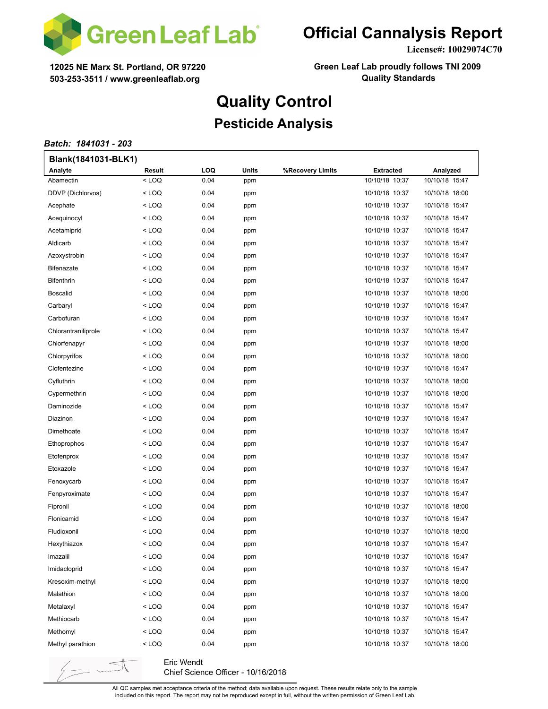

**License#: 10029074C70**

**12025 NE Marx St. Portland, OR 97220 503-253-3511 / www.greenleaflab.org**

**Green Leaf Lab proudly follows TNI 2009 Quality Standards**

# **Quality Control**

### **Pesticide Analysis**

#### *Batch: 1841031 - 203*

 $\frac{1}{2}$  -

| Blank(1841031-BLK1) |                                                                                                     |            |       |                  |                  |                |  |  |
|---------------------|-----------------------------------------------------------------------------------------------------|------------|-------|------------------|------------------|----------------|--|--|
| Analyte             | Result                                                                                              | <b>LOQ</b> | Units | %Recovery Limits | <b>Extracted</b> | Analyzed       |  |  |
| Abamectin           | <loq< td=""><td>0.04</td><td>ppm</td><td></td><td>10/10/18 10:37</td><td>10/10/18 15:47</td></loq<> | 0.04       | ppm   |                  | 10/10/18 10:37   | 10/10/18 15:47 |  |  |
| DDVP (Dichlorvos)   | < LOQ                                                                                               | 0.04       | ppm   |                  | 10/10/18 10:37   | 10/10/18 18:00 |  |  |
| Acephate            | < LOQ                                                                                               | 0.04       | ppm   |                  | 10/10/18 10:37   | 10/10/18 15:47 |  |  |
| Acequinocyl         | < LOQ                                                                                               | 0.04       | ppm   |                  | 10/10/18 10:37   | 10/10/18 15:47 |  |  |
| Acetamiprid         | < LOQ                                                                                               | 0.04       | ppm   |                  | 10/10/18 10:37   | 10/10/18 15:47 |  |  |
| Aldicarb            | < LOQ                                                                                               | 0.04       | ppm   |                  | 10/10/18 10:37   | 10/10/18 15:47 |  |  |
| Azoxystrobin        | < LOQ                                                                                               | 0.04       | ppm   |                  | 10/10/18 10:37   | 10/10/18 15:47 |  |  |
| <b>Bifenazate</b>   | < LOQ                                                                                               | 0.04       | ppm   |                  | 10/10/18 10:37   | 10/10/18 15:47 |  |  |
| <b>Bifenthrin</b>   | $<$ LOQ                                                                                             | 0.04       | ppm   |                  | 10/10/18 10:37   | 10/10/18 15:47 |  |  |
| <b>Boscalid</b>     | < LOQ                                                                                               | 0.04       | ppm   |                  | 10/10/18 10:37   | 10/10/18 18:00 |  |  |
| Carbaryl            | < LOQ                                                                                               | 0.04       | ppm   |                  | 10/10/18 10:37   | 10/10/18 15:47 |  |  |
| Carbofuran          | < LOQ                                                                                               | 0.04       | ppm   |                  | 10/10/18 10:37   | 10/10/18 15:47 |  |  |
| Chlorantraniliprole | < LOQ                                                                                               | 0.04       | ppm   |                  | 10/10/18 10:37   | 10/10/18 15:47 |  |  |
| Chlorfenapyr        | < LOQ                                                                                               | 0.04       | ppm   |                  | 10/10/18 10:37   | 10/10/18 18:00 |  |  |
| Chlorpyrifos        | $<$ LOQ                                                                                             | 0.04       | ppm   |                  | 10/10/18 10:37   | 10/10/18 18:00 |  |  |
| Clofentezine        | < LOQ                                                                                               | 0.04       | ppm   |                  | 10/10/18 10:37   | 10/10/18 15:47 |  |  |
| Cyfluthrin          | < LOQ                                                                                               | 0.04       | ppm   |                  | 10/10/18 10:37   | 10/10/18 18:00 |  |  |
| Cypermethrin        | < LOQ                                                                                               | 0.04       | ppm   |                  | 10/10/18 10:37   | 10/10/18 18:00 |  |  |
| Daminozide          | < LOQ                                                                                               | 0.04       | ppm   |                  | 10/10/18 10:37   | 10/10/18 15:47 |  |  |
| Diazinon            | < LOQ                                                                                               | 0.04       | ppm   |                  | 10/10/18 10:37   | 10/10/18 15:47 |  |  |
| Dimethoate          | < LOQ                                                                                               | 0.04       | ppm   |                  | 10/10/18 10:37   | 10/10/18 15:47 |  |  |
| Ethoprophos         | < LOQ                                                                                               | 0.04       | ppm   |                  | 10/10/18 10:37   | 10/10/18 15:47 |  |  |
| Etofenprox          | < LOQ                                                                                               | 0.04       | ppm   |                  | 10/10/18 10:37   | 10/10/18 15:47 |  |  |
| Etoxazole           | < LOQ                                                                                               | 0.04       | ppm   |                  | 10/10/18 10:37   | 10/10/18 15:47 |  |  |
| Fenoxycarb          | < LOQ                                                                                               | 0.04       | ppm   |                  | 10/10/18 10:37   | 10/10/18 15:47 |  |  |
| Fenpyroximate       | < LOQ                                                                                               | 0.04       | ppm   |                  | 10/10/18 10:37   | 10/10/18 15:47 |  |  |
| Fipronil            | < LOQ                                                                                               | 0.04       | ppm   |                  | 10/10/18 10:37   | 10/10/18 18:00 |  |  |
| Flonicamid          | < LOQ                                                                                               | 0.04       | ppm   |                  | 10/10/18 10:37   | 10/10/18 15:47 |  |  |
| Fludioxonil         | < LOQ                                                                                               | 0.04       | ppm   |                  | 10/10/18 10:37   | 10/10/18 18:00 |  |  |
| Hexythiazox         | < LOQ                                                                                               | 0.04       | ppm   |                  | 10/10/18 10:37   | 10/10/18 15:47 |  |  |
| Imazalil            | < LOQ                                                                                               | 0.04       | ppm   |                  | 10/10/18 10:37   | 10/10/18 15:47 |  |  |
| Imidacloprid        | < LOQ                                                                                               | 0.04       | ppm   |                  | 10/10/18 10:37   | 10/10/18 15:47 |  |  |
| Kresoxim-methyl     | $<$ LOQ                                                                                             | 0.04       | ppm   |                  | 10/10/18 10:37   | 10/10/18 18:00 |  |  |
| Malathion           | < LOQ                                                                                               | 0.04       | ppm   |                  | 10/10/18 10:37   | 10/10/18 18:00 |  |  |
| Metalaxyl           | < LOQ                                                                                               | 0.04       | ppm   |                  | 10/10/18 10:37   | 10/10/18 15:47 |  |  |
| Methiocarb          | < LOQ                                                                                               | 0.04       | ppm   |                  | 10/10/18 10:37   | 10/10/18 15:47 |  |  |
| Methomyl            | <loq< td=""><td>0.04</td><td>ppm</td><td></td><td>10/10/18 10:37</td><td>10/10/18 15:47</td></loq<> | 0.04       | ppm   |                  | 10/10/18 10:37   | 10/10/18 15:47 |  |  |
| Methyl parathion    | < LOQ                                                                                               | 0.04       | ppm   |                  | 10/10/18 10:37   | 10/10/18 18:00 |  |  |
|                     |                                                                                                     |            |       |                  |                  |                |  |  |

Eric Wendt Chief Science Officer - 10/16/2018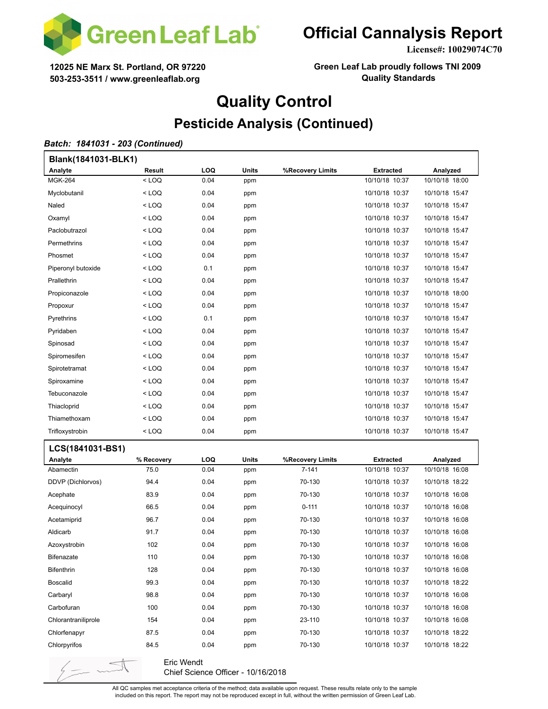

**License#: 10029074C70**

**12025 NE Marx St. Portland, OR 97220 503-253-3511 / www.greenleaflab.org**

**Green Leaf Lab proudly follows TNI 2009 Quality Standards**

# **Quality Control**

### **Pesticide Analysis (Continued)**

#### *Batch: 1841031 - 203 (Continued)*

 $\frac{1}{2}$  -  $\sim$ 

| Blank(1841031-BLK1) |            |      |       |                  |                  |                |  |  |
|---------------------|------------|------|-------|------------------|------------------|----------------|--|--|
| Analyte             | Result     | LOQ  | Units | %Recovery Limits | <b>Extracted</b> | Analyzed       |  |  |
| <b>MGK-264</b>      | $<$ LOQ    | 0.04 | ppm   |                  | 10/10/18 10:37   | 10/10/18 18:00 |  |  |
| Myclobutanil        | < LOQ      | 0.04 | ppm   |                  | 10/10/18 10:37   | 10/10/18 15:47 |  |  |
| Naled               | < LOQ      | 0.04 | ppm   |                  | 10/10/18 10:37   | 10/10/18 15:47 |  |  |
| Oxamyl              | < LOQ      | 0.04 | ppm   |                  | 10/10/18 10:37   | 10/10/18 15:47 |  |  |
| Paclobutrazol       | < LOQ      | 0.04 | ppm   |                  | 10/10/18 10:37   | 10/10/18 15:47 |  |  |
| Permethrins         | < LOQ      | 0.04 | ppm   |                  | 10/10/18 10:37   | 10/10/18 15:47 |  |  |
| Phosmet             | < LOQ      | 0.04 | ppm   |                  | 10/10/18 10:37   | 10/10/18 15:47 |  |  |
| Piperonyl butoxide  | < LOQ      | 0.1  | ppm   |                  | 10/10/18 10:37   | 10/10/18 15:47 |  |  |
| Prallethrin         | < LOQ      | 0.04 | ppm   |                  | 10/10/18 10:37   | 10/10/18 15:47 |  |  |
| Propiconazole       | < LOQ      | 0.04 | ppm   |                  | 10/10/18 10:37   | 10/10/18 18:00 |  |  |
| Propoxur            | < LOQ      | 0.04 | ppm   |                  | 10/10/18 10:37   | 10/10/18 15:47 |  |  |
| Pyrethrins          | < LOQ      | 0.1  | ppm   |                  | 10/10/18 10:37   | 10/10/18 15:47 |  |  |
| Pyridaben           | < LOQ      | 0.04 | ppm   |                  | 10/10/18 10:37   | 10/10/18 15:47 |  |  |
| Spinosad            | < LOQ      | 0.04 | ppm   |                  | 10/10/18 10:37   | 10/10/18 15:47 |  |  |
| Spiromesifen        | < LOQ      | 0.04 | ppm   |                  | 10/10/18 10:37   | 10/10/18 15:47 |  |  |
| Spirotetramat       | < LOQ      | 0.04 | ppm   |                  | 10/10/18 10:37   | 10/10/18 15:47 |  |  |
| Spiroxamine         | < LOQ      | 0.04 | ppm   |                  | 10/10/18 10:37   | 10/10/18 15:47 |  |  |
| Tebuconazole        | < LOQ      | 0.04 | ppm   |                  | 10/10/18 10:37   | 10/10/18 15:47 |  |  |
| Thiacloprid         | < LOQ      | 0.04 | ppm   |                  | 10/10/18 10:37   | 10/10/18 15:47 |  |  |
| Thiamethoxam        | < LOQ      | 0.04 | ppm   |                  | 10/10/18 10:37   | 10/10/18 15:47 |  |  |
| Trifloxystrobin     | < LOQ      | 0.04 | ppm   |                  | 10/10/18 10:37   | 10/10/18 15:47 |  |  |
| LCS(1841031-BS1)    |            |      |       |                  |                  |                |  |  |
| Analyte             | % Recovery | LOQ  | Units | %Recovery Limits | Extracted        | Analyzed       |  |  |
| Abamectin           | 75.0       | 0.04 | ppm   | $7 - 141$        | 10/10/18 10:37   | 10/10/18 16:08 |  |  |
| DDVP (Dichlorvos)   | 94.4       | 0.04 | ppm   | 70-130           | 10/10/18 10:37   | 10/10/18 18:22 |  |  |
| Acephate            | 83.9       | 0.04 | ppm   | 70-130           | 10/10/18 10:37   | 10/10/18 16:08 |  |  |
| Acequinocyl         | 66.5       | 0.04 | ppm   | $0 - 111$        | 10/10/18 10:37   | 10/10/18 16:08 |  |  |
| Acetamiprid         | 96.7       | 0.04 | ppm   | 70-130           | 10/10/18 10:37   | 10/10/18 16:08 |  |  |
| Aldicarb            | 91.7       | 0.04 | ppm   | 70-130           | 10/10/18 10:37   | 10/10/18 16:08 |  |  |
| Azoxystrobin        | 102        | 0.04 | ppm   | 70-130           | 10/10/18 10:37   | 10/10/18 16:08 |  |  |
| <b>Bifenazate</b>   | 110        | 0.04 | ppm   | 70-130           | 10/10/18 10:37   | 10/10/18 16:08 |  |  |
| <b>Bifenthrin</b>   | 128        | 0.04 | ppm   | 70-130           | 10/10/18 10:37   | 10/10/18 16:08 |  |  |
| <b>Boscalid</b>     | 99.3       | 0.04 | ppm   | 70-130           | 10/10/18 10:37   | 10/10/18 18:22 |  |  |
| Carbaryl            | 98.8       | 0.04 | ppm   | 70-130           | 10/10/18 10:37   | 10/10/18 16:08 |  |  |
| Carbofuran          | 100        | 0.04 | ppm   | 70-130           | 10/10/18 10:37   | 10/10/18 16:08 |  |  |
| Chlorantraniliprole | 154        | 0.04 | ppm   | 23-110           | 10/10/18 10:37   | 10/10/18 16:08 |  |  |
| Chlorfenapyr        | 87.5       | 0.04 | ppm   | 70-130           | 10/10/18 10:37   | 10/10/18 18:22 |  |  |
| Chlorpyrifos        | 84.5       | 0.04 | ppm   | 70-130           | 10/10/18 10:37   | 10/10/18 18:22 |  |  |

Eric Wendt Chief Science Officer - 10/16/2018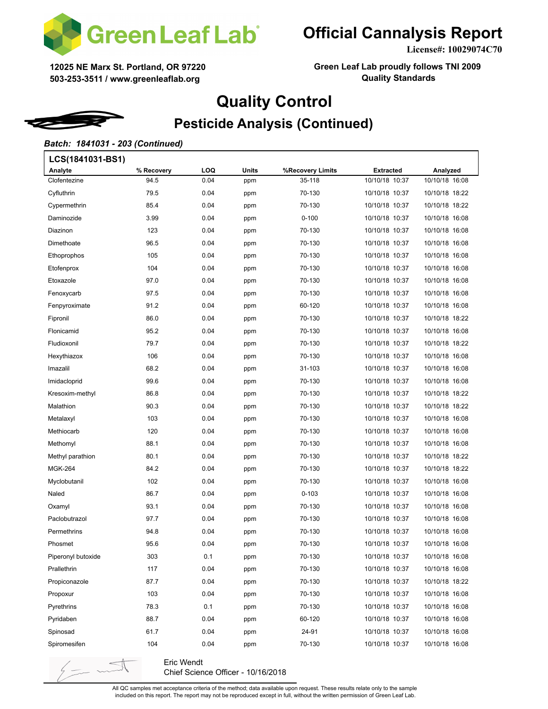

**License#: 10029074C70**

**12025 NE Marx St. Portland, OR 97220 503-253-3511 / www.greenleaflab.org**

**Green Leaf Lab proudly follows TNI 2009 Quality Standards**

# **Quality Control**

## **Pesticide Analysis (Continued)**

#### *Batch: 1841031 - 203 (Continued)*

| LCS(1841031-BS1)   |            |      |       |                  |                  |                |  |  |
|--------------------|------------|------|-------|------------------|------------------|----------------|--|--|
| Analyte            | % Recovery | LOQ  | Units | %Recovery Limits | <b>Extracted</b> | Analyzed       |  |  |
| Clofentezine       | 94.5       | 0.04 | ppm   | 35-118           | 10/10/18 10:37   | 10/10/18 16:08 |  |  |
| Cyfluthrin         | 79.5       | 0.04 | ppm   | 70-130           | 10/10/18 10:37   | 10/10/18 18:22 |  |  |
| Cypermethrin       | 85.4       | 0.04 | ppm   | 70-130           | 10/10/18 10:37   | 10/10/18 18:22 |  |  |
| Daminozide         | 3.99       | 0.04 | ppm   | $0 - 100$        | 10/10/18 10:37   | 10/10/18 16:08 |  |  |
| Diazinon           | 123        | 0.04 | ppm   | 70-130           | 10/10/18 10:37   | 10/10/18 16:08 |  |  |
| Dimethoate         | 96.5       | 0.04 | ppm   | 70-130           | 10/10/18 10:37   | 10/10/18 16:08 |  |  |
| Ethoprophos        | 105        | 0.04 | ppm   | 70-130           | 10/10/18 10:37   | 10/10/18 16:08 |  |  |
| Etofenprox         | 104        | 0.04 | ppm   | 70-130           | 10/10/18 10:37   | 10/10/18 16:08 |  |  |
| Etoxazole          | 97.0       | 0.04 | ppm   | 70-130           | 10/10/18 10:37   | 10/10/18 16:08 |  |  |
| Fenoxycarb         | 97.5       | 0.04 | ppm   | 70-130           | 10/10/18 10:37   | 10/10/18 16:08 |  |  |
| Fenpyroximate      | 91.2       | 0.04 | ppm   | 60-120           | 10/10/18 10:37   | 10/10/18 16:08 |  |  |
| Fipronil           | 86.0       | 0.04 | ppm   | 70-130           | 10/10/18 10:37   | 10/10/18 18:22 |  |  |
| Flonicamid         | 95.2       | 0.04 | ppm   | 70-130           | 10/10/18 10:37   | 10/10/18 16:08 |  |  |
| Fludioxonil        | 79.7       | 0.04 | ppm   | 70-130           | 10/10/18 10:37   | 10/10/18 18:22 |  |  |
| Hexythiazox        | 106        | 0.04 | ppm   | 70-130           | 10/10/18 10:37   | 10/10/18 16:08 |  |  |
| Imazalil           | 68.2       | 0.04 | ppm   | 31-103           | 10/10/18 10:37   | 10/10/18 16:08 |  |  |
| Imidacloprid       | 99.6       | 0.04 | ppm   | 70-130           | 10/10/18 10:37   | 10/10/18 16:08 |  |  |
| Kresoxim-methyl    | 86.8       | 0.04 | ppm   | 70-130           | 10/10/18 10:37   | 10/10/18 18:22 |  |  |
| Malathion          | 90.3       | 0.04 | ppm   | 70-130           | 10/10/18 10:37   | 10/10/18 18:22 |  |  |
| Metalaxyl          | 103        | 0.04 | ppm   | 70-130           | 10/10/18 10:37   | 10/10/18 16:08 |  |  |
| Methiocarb         | 120        | 0.04 | ppm   | 70-130           | 10/10/18 10:37   | 10/10/18 16:08 |  |  |
| Methomyl           | 88.1       | 0.04 | ppm   | 70-130           | 10/10/18 10:37   | 10/10/18 16:08 |  |  |
| Methyl parathion   | 80.1       | 0.04 | ppm   | 70-130           | 10/10/18 10:37   | 10/10/18 18:22 |  |  |
| <b>MGK-264</b>     | 84.2       | 0.04 | ppm   | 70-130           | 10/10/18 10:37   | 10/10/18 18:22 |  |  |
| Myclobutanil       | 102        | 0.04 | ppm   | 70-130           | 10/10/18 10:37   | 10/10/18 16:08 |  |  |
| Naled              | 86.7       | 0.04 | ppm   | $0 - 103$        | 10/10/18 10:37   | 10/10/18 16:08 |  |  |
| Oxamyl             | 93.1       | 0.04 | ppm   | 70-130           | 10/10/18 10:37   | 10/10/18 16:08 |  |  |
| Paclobutrazol      | 97.7       | 0.04 | ppm   | 70-130           | 10/10/18 10:37   | 10/10/18 16:08 |  |  |
| Permethrins        | 94.8       | 0.04 | ppm   | 70-130           | 10/10/18 10:37   | 10/10/18 16:08 |  |  |
| Phosmet            | 95.6       | 0.04 | ppm   | 70-130           | 10/10/18 10:37   | 10/10/18 16:08 |  |  |
| Piperonyl butoxide | 303        | 0.1  | ppm   | 70-130           | 10/10/18 10:37   | 10/10/18 16:08 |  |  |
| Prallethrin        | 117        | 0.04 | ppm   | 70-130           | 10/10/18 10:37   | 10/10/18 16:08 |  |  |
| Propiconazole      | 87.7       | 0.04 | ppm   | 70-130           | 10/10/18 10:37   | 10/10/18 18:22 |  |  |
| Propoxur           | 103        | 0.04 | ppm   | 70-130           | 10/10/18 10:37   | 10/10/18 16:08 |  |  |
| Pyrethrins         | 78.3       | 0.1  | ppm   | 70-130           | 10/10/18 10:37   | 10/10/18 16:08 |  |  |
| Pyridaben          | 88.7       | 0.04 | ppm   | 60-120           | 10/10/18 10:37   | 10/10/18 16:08 |  |  |
| Spinosad           | 61.7       | 0.04 | ppm   | 24-91            | 10/10/18 10:37   | 10/10/18 16:08 |  |  |
| Spiromesifen       | 104        | 0.04 | ppm   | 70-130           | 10/10/18 10:37   | 10/10/18 16:08 |  |  |
|                    |            |      |       |                  |                  |                |  |  |

Eric Wendt Chief Science Officer - 10/16/2018

 $\sqrt{2\pi}$